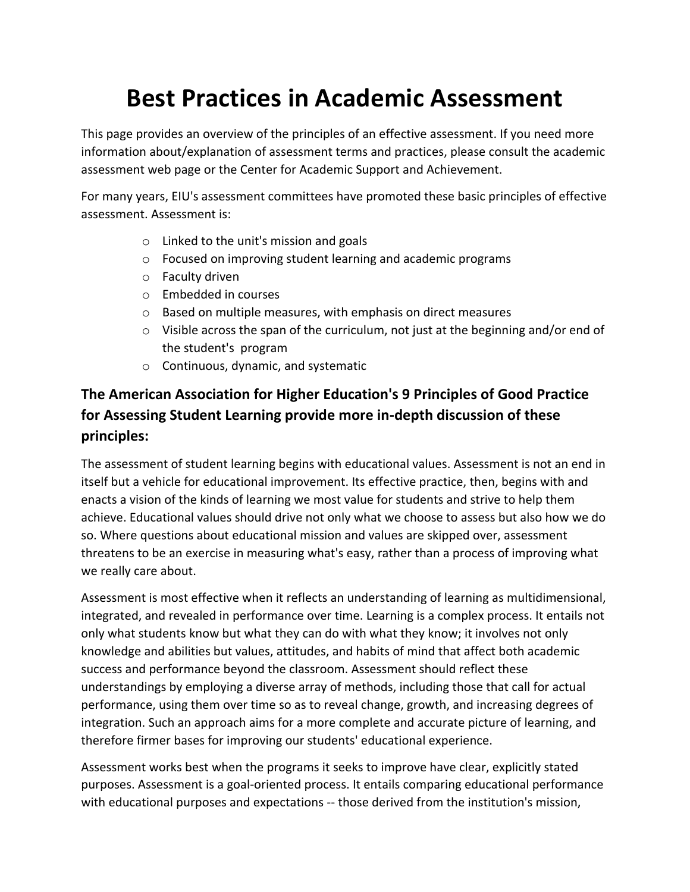## **Best Practices in Academic Assessment**

This page provides an overview of the principles of an effective assessment. If you need more information about/explanation of assessment terms and practices, please consult the academic assessment web page or the Center for Academic Support and Achievement.

For many years, EIU's assessment committees have promoted these basic principles of effective assessment. Assessment is:

- o Linked to the unit's mission and goals
- o Focused on improving student learning and academic programs
- o Faculty driven
- o Embedded in courses
- o Based on multiple measures, with emphasis on direct measures
- o Visible across the span of the curriculum, not just at the beginning and/or end of the student's program
- o Continuous, dynamic, and systematic

## **The American Association for Higher Education's 9 Principles of Good Practice for Assessing Student Learning provide more in-depth discussion of these principles:**

The assessment of student learning begins with educational values. Assessment is not an end in itself but a vehicle for educational improvement. Its effective practice, then, begins with and enacts a vision of the kinds of learning we most value for students and strive to help them achieve. Educational values should drive not only what we choose to assess but also how we do so. Where questions about educational mission and values are skipped over, assessment threatens to be an exercise in measuring what's easy, rather than a process of improving what we really care about.

Assessment is most effective when it reflects an understanding of learning as multidimensional, integrated, and revealed in performance over time. Learning is a complex process. It entails not only what students know but what they can do with what they know; it involves not only knowledge and abilities but values, attitudes, and habits of mind that affect both academic success and performance beyond the classroom. Assessment should reflect these understandings by employing a diverse array of methods, including those that call for actual performance, using them over time so as to reveal change, growth, and increasing degrees of integration. Such an approach aims for a more complete and accurate picture of learning, and therefore firmer bases for improving our students' educational experience.

Assessment works best when the programs it seeks to improve have clear, explicitly stated purposes. Assessment is a goal-oriented process. It entails comparing educational performance with educational purposes and expectations -- those derived from the institution's mission,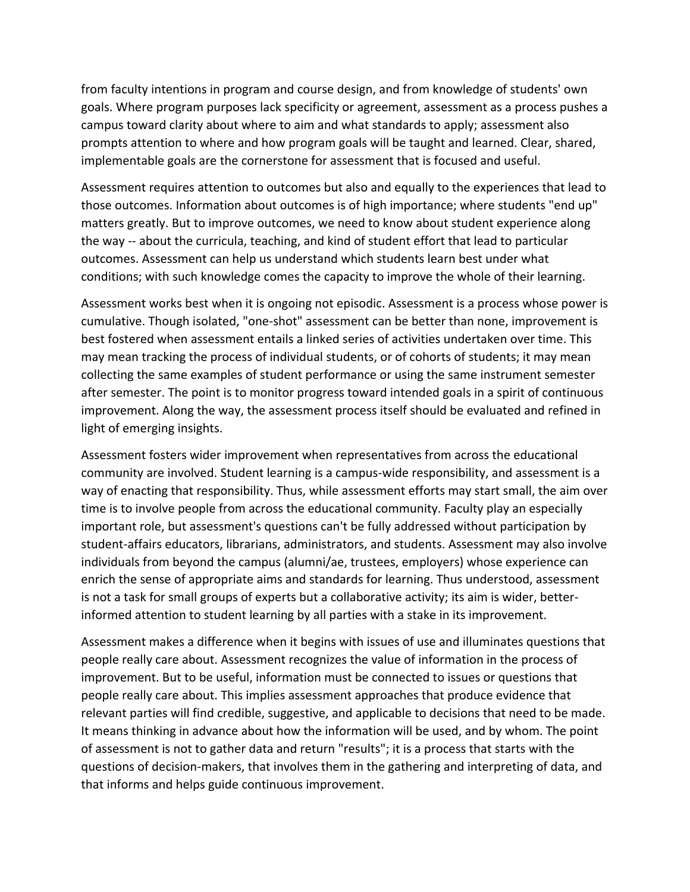from faculty intentions in program and course design, and from knowledge of students' own goals. Where program purposes lack specificity or agreement, assessment as a process pushes a campus toward clarity about where to aim and what standards to apply; assessment also prompts attention to where and how program goals will be taught and learned. Clear, shared, implementable goals are the cornerstone for assessment that is focused and useful.

Assessment requires attention to outcomes but also and equally to the experiences that lead to those outcomes. Information about outcomes is of high importance; where students "end up" matters greatly. But to improve outcomes, we need to know about student experience along the way -- about the curricula, teaching, and kind of student effort that lead to particular outcomes. Assessment can help us understand which students learn best under what conditions; with such knowledge comes the capacity to improve the whole of their learning.

Assessment works best when it is ongoing not episodic. Assessment is a process whose power is cumulative. Though isolated, "one-shot" assessment can be better than none, improvement is best fostered when assessment entails a linked series of activities undertaken over time. This may mean tracking the process of individual students, or of cohorts of students; it may mean collecting the same examples of student performance or using the same instrument semester after semester. The point is to monitor progress toward intended goals in a spirit of continuous improvement. Along the way, the assessment process itself should be evaluated and refined in light of emerging insights.

Assessment fosters wider improvement when representatives from across the educational community are involved. Student learning is a campus-wide responsibility, and assessment is a way of enacting that responsibility. Thus, while assessment efforts may start small, the aim over time is to involve people from across the educational community. Faculty play an especially important role, but assessment's questions can't be fully addressed without participation by student-affairs educators, librarians, administrators, and students. Assessment may also involve individuals from beyond the campus (alumni/ae, trustees, employers) whose experience can enrich the sense of appropriate aims and standards for learning. Thus understood, assessment is not a task for small groups of experts but a collaborative activity; its aim is wider, betterinformed attention to student learning by all parties with a stake in its improvement.

Assessment makes a difference when it begins with issues of use and illuminates questions that people really care about. Assessment recognizes the value of information in the process of improvement. But to be useful, information must be connected to issues or questions that people really care about. This implies assessment approaches that produce evidence that relevant parties will find credible, suggestive, and applicable to decisions that need to be made. It means thinking in advance about how the information will be used, and by whom. The point of assessment is not to gather data and return "results"; it is a process that starts with the questions of decision-makers, that involves them in the gathering and interpreting of data, and that informs and helps guide continuous improvement.